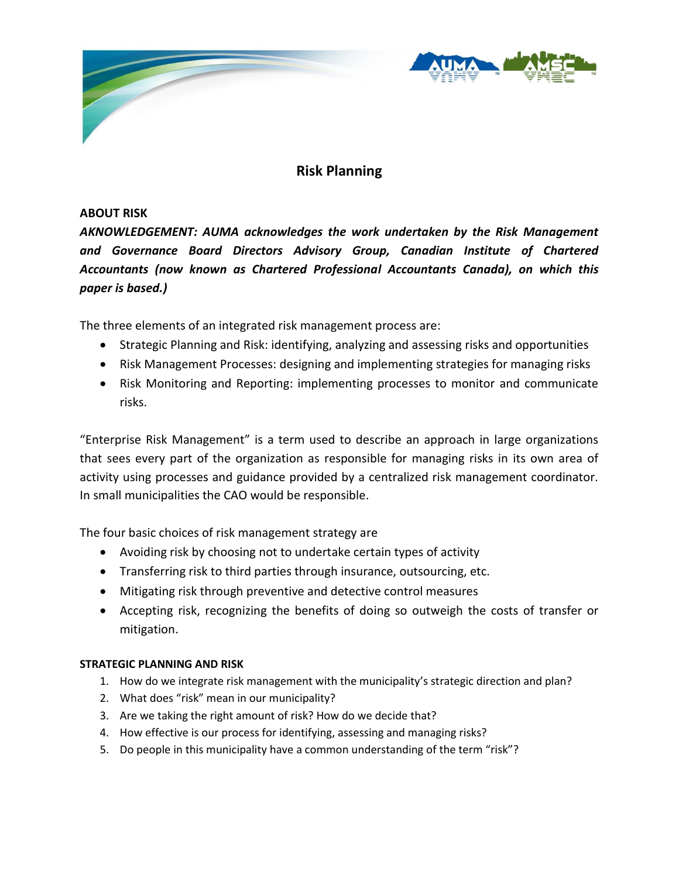

# **Risk Planning**

## **ABOUT RISK**

*AKNOWLEDGEMENT: AUMA acknowledges the work undertaken by the Risk Management and Governance Board Directors Advisory Group, Canadian Institute of Chartered Accountants (now known as Chartered Professional Accountants Canada), on which this paper is based.)*

The three elements of an integrated risk management process are:

- Strategic Planning and Risk: identifying, analyzing and assessing risks and opportunities
- Risk Management Processes: designing and implementing strategies for managing risks
- Risk Monitoring and Reporting: implementing processes to monitor and communicate risks.

"Enterprise Risk Management" is a term used to describe an approach in large organizations that sees every part of the organization as responsible for managing risks in its own area of activity using processes and guidance provided by a centralized risk management coordinator. In small municipalities the CAO would be responsible.

The four basic choices of risk management strategy are

- Avoiding risk by choosing not to undertake certain types of activity
- Transferring risk to third parties through insurance, outsourcing, etc.
- Mitigating risk through preventive and detective control measures
- Accepting risk, recognizing the benefits of doing so outweigh the costs of transfer or mitigation.

#### **STRATEGIC PLANNING AND RISK**

- 1. How do we integrate risk management with the municipality's strategic direction and plan?
- 2. What does "risk" mean in our municipality?
- 3. Are we taking the right amount of risk? How do we decide that?
- 4. How effective is our process for identifying, assessing and managing risks?
- 5. Do people in this municipality have a common understanding of the term "risk"?